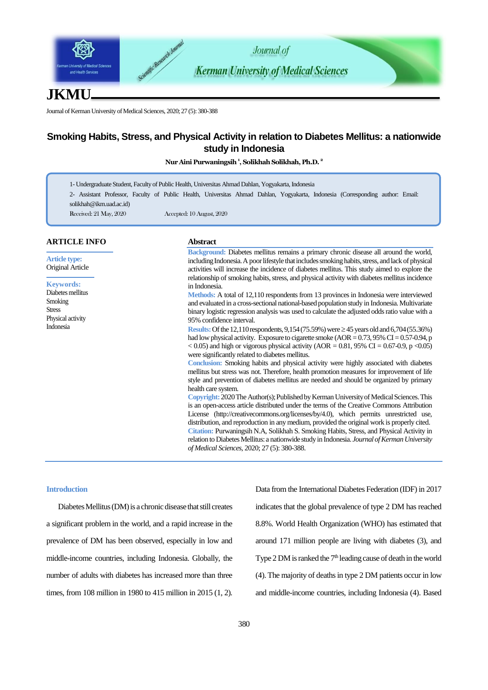

# **JKMU**

Journal of Kerman University of Medical Sciences, 2020; 27 (5): 380-388

# **Smoking Habits, Stress, and Physical Activity in relation to Diabetes Mellitus: a nationwide study in Indonesia**

**Nur Aini Purwaningsih <sup>1</sup> , Solikhah Solikhah, Ph.D. <sup>2</sup>**

- 1- Undergraduate Student, Faculty of Public Health, Universitas Ahmad Dahlan, Yogyakarta, Indonesia
- 2- Assistant Professor, Faculty of Public Health, Universitas Ahmad Dahlan, Yogyakarta, Indonesia (Corresponding author: Email:
- [solikhah@ikm.uad.ac.id\)](mailto:solikhah@ikm.uad.ac.id)

Received: 21 May, 2020 Accepted: 10 August, 2020

#### **ARTICLE INFO**

**Article type:** Original Article

**Keywords:** Diabetes mellitus Smoking Stress Physical activity Indonesia

### **Abstract**

**Background:** Diabetes mellitus remains a primary chronic disease all around the world, including Indonesia. A poor lifestyle that includes smoking habits, stress, and lack of physical activities will increase the incidence of diabetes mellitus. This study aimed to explore the relationship of smoking habits, stress, and physical activity with diabetes mellitus incidence in Indonesia.

**Methods:** A total of 12,110 respondents from 13 provinces in Indonesia were interviewed and evaluated in a cross-sectional national-based population study in Indonesia. Multivariate binary logistic regression analysis was used to calculate the adjusted odds ratio value with a 95% confidence interval.

**Results:** Of the 12,110 respondents,  $9,154(75.59%)$  were  $\geq 45$  years old and  $6,704(55.36%)$ had low physical activity. Exposure to cigarette smoke  $(AOR = 0.73, 95\% \text{ CI} = 0.57-0.94, \text{p}$  $< 0.05$ ) and high or vigorous physical activity (AOR = 0.81, 95% CI = 0.67-0.9, p  $< 0.05$ ) were significantly related to diabetes mellitus.

**Conclusion:** Smoking habits and physical activity were highly associated with diabetes mellitus but stress was not. Therefore, health promotion measures for improvement of life style and prevention of diabetes mellitus are needed and should be organized by primary health care system.

**Copyright:** 2020The Author(s); Published by Kerman University of Medical Sciences. This is an open-access article distributed under the terms of the Creative Commons Attribution License (http://creativecommons.org/licenses/by/4.0), which permits unrestricted use, distribution, and reproduction in any medium, provided the original work is properly cited. **Citation:** Purwaningsih N.A, Solikhah S. Smoking Habits, Stress, and Physical Activity in relation to Diabetes Mellitus: a nationwide study in Indonesia. *Journal of Kerman University of Medical Sciences*, 2020; 27 (5): 380-388.

#### **Introduction**

Diabetes Mellitus (DM) is a chronic disease that still creates a significant problem in the world, and a rapid increase in the prevalence of DM has been observed, especially in low and middle-income countries, including Indonesia. Globally, the number of adults with diabetes has increased more than three times, from 108 million in 1980 to 415 million in 2015 (1, 2). Data from the International Diabetes Federation (IDF) in 2017 indicates that the global prevalence of type 2 DM has reached 8.8%. World Health Organization (WHO) has estimated that around 171 million people are living with diabetes (3), and Type 2 DM is ranked the  $7<sup>th</sup>$  leading cause of death in the world (4). The majority of deaths in type 2 DM patients occur in low and middle-income countries, including Indonesia (4). Based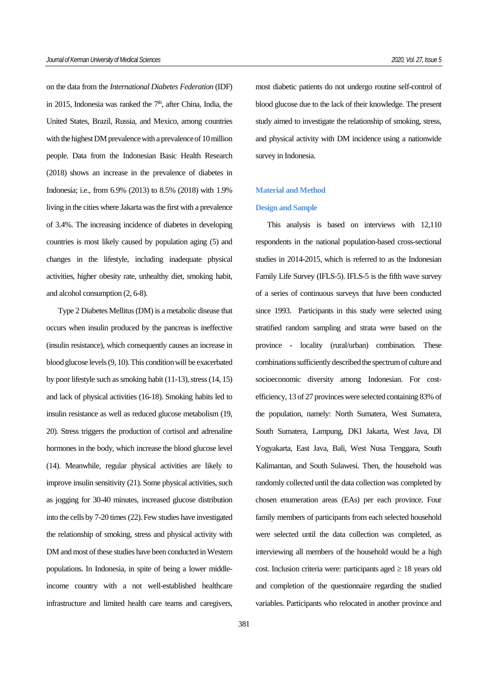on the data from the *International Diabetes Federation* (IDF) in 2015, Indonesia was ranked the  $7<sup>th</sup>$ , after China, India, the United States, Brazil, Russia, and Mexico, among countries with the highest DM prevalence with a prevalence of 10 million people. Data from the Indonesian Basic Health Research (2018) shows an increase in the prevalence of diabetes in Indonesia; i.e., from 6.9% (2013) to 8.5% (2018) with 1.9% living in the cities where Jakarta was the first with a prevalence of 3.4%. The increasing incidence of diabetes in developing countries is most likely caused by population aging (5) and changes in the lifestyle, including inadequate physical activities, higher obesity rate, unhealthy diet, smoking habit, and alcohol consumption (2, 6-8).

Type 2 Diabetes Mellitus (DM) is a metabolic disease that occurs when insulin produced by the pancreas is ineffective (insulin resistance), which consequently causes an increase in blood glucose levels (9, 10). This condition will be exacerbated by poor lifestyle such as smoking habit (11-13), stress (14, 15) and lack of physical activities (16-18). Smoking habits led to insulin resistance as well as reduced glucose metabolism (19, 20). Stress triggers the production of cortisol and adrenaline hormones in the body, which increase the blood glucose level (14). Meanwhile, regular physical activities are likely to improve insulin sensitivity (21). Some physical activities, such as jogging for 30-40 minutes, increased glucose distribution into the cells by 7-20 times (22). Few studies have investigated the relationship of smoking, stress and physical activity with DM and most of these studies have been conducted in Western populations. In Indonesia, in spite of being a lower middleincome country with a not well-established healthcare infrastructure and limited health care teams and caregivers,

most diabetic patients do not undergo routine self-control of blood glucose due to the lack of their knowledge. The present study aimed to investigate the relationship of smoking, stress, and physical activity with DM incidence using a nationwide survey in Indonesia.

#### **Material and Method**

#### **Design and Sample**

This analysis is based on interviews with 12,110 respondents in the national population-based cross-sectional studies in 2014-2015, which is referred to as the Indonesian Family Life Survey (IFLS-5). IFLS-5 is the fifth wave survey of a series of continuous surveys that have been conducted since 1993. Participants in this study were selected using stratified random sampling and strata were based on the province - locality (rural/urban) combination. These combinations sufficiently described the spectrum of culture and socioeconomic diversity among Indonesian. For costefficiency, 13 of 27 provinces were selected containing 83% of the population, namely: North Sumatera, West Sumatera, South Sumatera, Lampung, DKI Jakarta, West Java, DI Yogyakarta, East Java, Bali, West Nusa Tenggara, South Kalimantan, and South Sulawesi. Then, the household was randomly collected until the data collection was completed by chosen enumeration areas (EAs) per each province. Four family members of participants from each selected household were selected until the data collection was completed, as interviewing all members of the household would be a high cost. Inclusion criteria were: participants aged  $\geq 18$  years old and completion of the questionnaire regarding the studied variables. Participants who relocated in another province and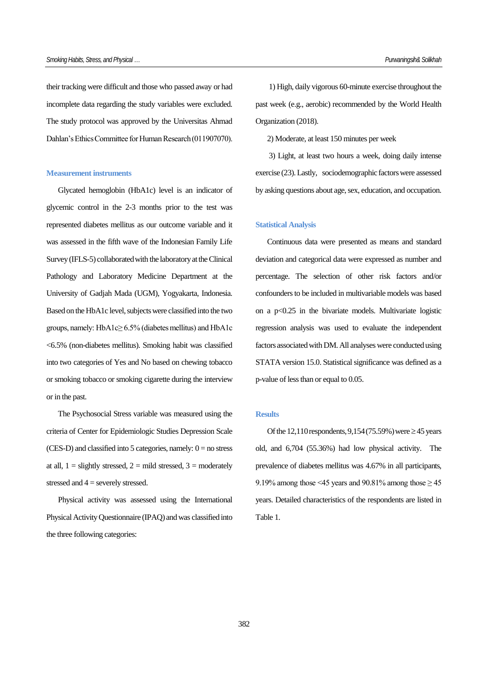their tracking were difficult and those who passed away or had incomplete data regarding the study variables were excluded. The study protocol was approved by the Universitas Ahmad Dahlan's Ethics Committee for Human Research (011907070).

#### **Measurement instruments**

Glycated hemoglobin (HbA1c) level is an indicator of glycemic control in the 2-3 months prior to the test was represented diabetes mellitus as our outcome variable and it was assessed in the fifth wave of the Indonesian Family Life Survey (IFLS-5) collaborated with the laboratory at the Clinical Pathology and Laboratory Medicine Department at the University of Gadjah Mada (UGM), Yogyakarta, Indonesia. Based on the HbA1c level, subjects were classified into the two groups, namely: HbA1 $c \ge 6.5\%$  (diabetes mellitus) and HbA1c <6.5% (non-diabetes mellitus). Smoking habit was classified into two categories of Yes and No based on chewing tobacco or smoking tobacco or smoking cigarette during the interview or in the past.

The Psychosocial Stress variable was measured using the criteria of Center for Epidemiologic Studies Depression Scale (CES-D) and classified into 5 categories, namely:  $0 =$  no stress at all,  $1 =$  slightly stressed,  $2 =$  mild stressed,  $3 =$  moderately stressed and 4 = severely stressed.

Physical activity was assessed using the International Physical Activity Questionnaire (IPAQ) and was classified into the three following categories:

1) High, daily vigorous 60-minute exercise throughout the past week (e.g., aerobic) recommended by the World Health Organization (2018).

2) Moderate, at least 150 minutes per week

3) Light, at least two hours a week, doing daily intense exercise (23). Lastly, sociodemographic factors were assessed by asking questions about age, sex, education, and occupation.

#### **Statistical Analysis**

Continuous data were presented as means and standard deviation and categorical data were expressed as number and percentage. The selection of other risk factors and/or confounders to be included in multivariable models was based on a p<0.25 in the bivariate models. Multivariate logistic regression analysis was used to evaluate the independent factors associated with DM. All analyses were conducted using STATA version 15.0. Statistical significance was defined as a p-value of less than or equal to 0.05.

#### **Results**

Of the 12,110 respondents,  $9,154(75.59%)$  were  $\geq 45$  years old, and 6,704 (55.36%) had low physical activity. The prevalence of diabetes mellitus was 4.67% in all participants, 9.19% among those <45 years and 90.81% among those  $\geq 45$ years. Detailed characteristics of the respondents are listed in Table 1.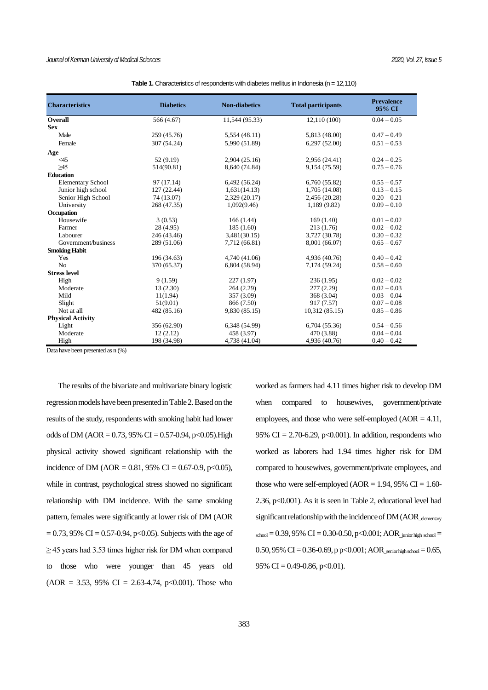| <b>Characteristics</b>   | <b>Diabetics</b> | <b>Non-diabetics</b> | <b>Total participants</b> | <b>Prevalence</b><br>95% CI |  |
|--------------------------|------------------|----------------------|---------------------------|-----------------------------|--|
| Overall                  | 566 (4.67)       | 11,544 (95.33)       | 12,110 (100)              | $0.04 - 0.05$               |  |
| <b>Sex</b>               |                  |                      |                           |                             |  |
| Male                     | 259 (45.76)      | 5,554 (48.11)        | 5,813 (48.00)             | $0.47 - 0.49$               |  |
| Female                   | 307 (54.24)      | 5.990 (51.89)        | 6.297(52.00)              | $0.51 - 0.53$               |  |
| Age                      |                  |                      |                           |                             |  |
| $\leq 45$                | 52 (9.19)        | 2,904(25.16)         | 2,956 (24.41)             | $0.24 - 0.25$               |  |
| $\geq45$                 | 514(90.81)       | 8,640 (74.84)        | 9,154 (75.59)             | $0.75 - 0.76$               |  |
| <b>Education</b>         |                  |                      |                           |                             |  |
| <b>Elementary School</b> | 97 (17.14)       | 6,492 (56.24)        | 6,760 (55.82)             | $0.55 - 0.57$               |  |
| Junior high school       | 127(22.44)       | 1,631(14.13)         | 1,705 (14.08)             | $0.13 - 0.15$               |  |
| Senior High School       | 74 (13.07)       | 2,329 (20.17)        | 2,456 (20.28)             | $0.20 - 0.21$               |  |
| University               | 268 (47.35)      | 1,092(9.46)          | 1,189 (9.82)              | $0.09 - 0.10$               |  |
| Occupation               |                  |                      |                           |                             |  |
| Housewife                | 3(0.53)          | 166(1.44)            | 169(1.40)                 | $0.01 - 0.02$               |  |
| Farmer                   | 28 (4.95)        | 185(1.60)            | 213 (1.76)                | $0.02 - 0.02$               |  |
| Labourer                 | 246 (43.46)      | 3,481(30.15)         | 3,727 (30.78)             | $0.30 - 0.32$               |  |
| Government/business      | 289 (51.06)      | 7,712 (66.81)        | 8,001 (66.07)             | $0.65 - 0.67$               |  |
| <b>Smoking Habit</b>     |                  |                      |                           |                             |  |
| Yes                      | 196 (34.63)      | 4,740 (41.06)        | 4,936 (40.76)             | $0.40 - 0.42$               |  |
| N <sub>o</sub>           | 370 (65.37)      | 6,804 (58.94)        | 7,174 (59.24)             | $0.58 - 0.60$               |  |
| <b>Stress level</b>      |                  |                      |                           |                             |  |
| High                     | 9(1.59)          | 227(1.97)            | 236(1.95)                 | $0.02 - 0.02$               |  |
| Moderate                 | 13(2.30)         | 264(2.29)            | 277(2.29)                 | $0.02 - 0.03$               |  |
| Mild                     | 11(1.94)         | 357 (3.09)           | 368 (3.04)                | $0.03 - 0.04$               |  |
| Slight                   | 51(9.01)         | 866 (7.50)           | 917 (7.57)                | $0.07 - 0.08$               |  |
| Not at all               | 482 (85.16)      | 9,830 (85.15)        | 10,312(85.15)             | $0.85 - 0.86$               |  |
| <b>Physical Activity</b> |                  |                      |                           |                             |  |
| Light                    | 356 (62.90)      | 6,348 (54.99)        | 6,704(55.36)              | $0.54 - 0.56$               |  |
| Moderate                 | 12(2.12)         | 458 (3.97)           | 470 (3.88)                | $0.04 - 0.04$               |  |
| High                     | 198 (34.98)      | 4,738 (41.04)        | 4,936 (40.76)             | $0.40 - 0.42$               |  |

**Table 1.** Characteristics of respondents with diabetes mellitus in Indonesia (n = 12.110)

Data have been presented as n (%)

The results of the bivariate and multivariate binary logistic regression models have been presented in Table 2. Based on the results of the study, respondents with smoking habit had lower odds of DM ( $AOR = 0.73$ , 95% CI = 0.57-0.94, p<0.05). High physical activity showed significant relationship with the incidence of DM (AOR = 0.81, 95% CI = 0.67-0.9, p<0.05), while in contrast, psychological stress showed no significant relationship with DM incidence. With the same smoking pattern, females were significantly at lower risk of DM (AOR  $= 0.73, 95\% \text{ CI} = 0.57 - 0.94, p < 0.05$ . Subjects with the age of  $\geq$  45 years had 3.53 times higher risk for DM when compared to those who were younger than 45 years old  $(AOR = 3.53, 95\% \text{ CI} = 2.63-4.74, p<0.001)$ . Those who worked as farmers had 4.11 times higher risk to develop DM when compared to housewives, government/private employees, and those who were self-employed  $(AOR = 4.11,$ 95% CI = 2.70-6.29, p<0.001). In addition, respondents who worked as laborers had 1.94 times higher risk for DM compared to housewives, government/private employees, and those who were self-employed ( $AOR = 1.94$ , 95% CI = 1.60-2.36, p<0.001). As it is seen in Table 2, educational level had significant relationship with the incidence of DM (AOR elementary  $s_{\text{chool}} = 0.39,95\% \text{ CI} = 0.30 - 0.50, p < 0.001; AOR_{\text{junior high school}} =$ 0.50, 95% CI = 0.36-0.69, p p<0.001; AOR senior high school = 0.65, 95% CI = 0.49-0.86, p<0.01).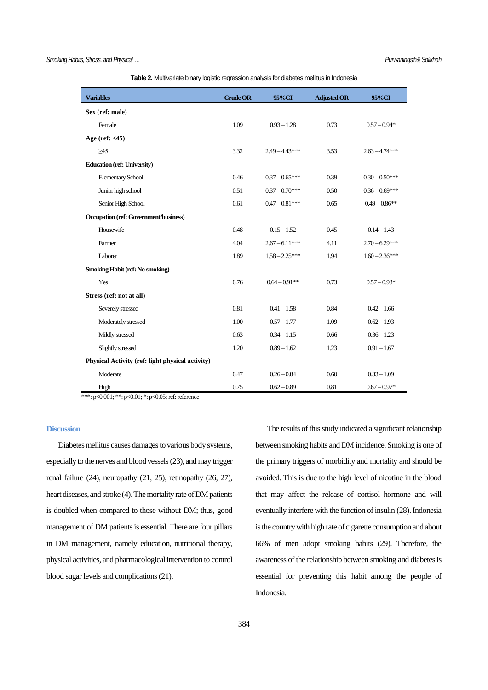|                                                  | <b>Variables</b>         | <b>Crude OR</b> | 95%CI            | <b>Adjusted OR</b> | 95%CI             |  |
|--------------------------------------------------|--------------------------|-----------------|------------------|--------------------|-------------------|--|
| Sex (ref: male)                                  |                          |                 |                  |                    |                   |  |
|                                                  | Female                   | 1.09            | $0.93 - 1.28$    | 0.73               | $0.57 - 0.94*$    |  |
| Age (ref: $<$ 45)                                |                          |                 |                  |                    |                   |  |
|                                                  | $\geq45$                 | 3.32            | $2.49 - 4.43***$ | 3.53               | $2.63 - 4.74***$  |  |
| <b>Education (ref: University)</b>               |                          |                 |                  |                    |                   |  |
|                                                  | <b>Elementary School</b> | 0.46            | $0.37 - 0.65***$ | 0.39               | $0.30 - 0.50$ *** |  |
|                                                  | Junior high school       | 0.51            | $0.37 - 0.70***$ | 0.50               | $0.36 - 0.69***$  |  |
|                                                  | Senior High School       | 0.61            | $0.47 - 0.81***$ | 0.65               | $0.49 - 0.86**$   |  |
| <b>Occupation (ref: Government/business)</b>     |                          |                 |                  |                    |                   |  |
|                                                  | Housewife                | 0.48            | $0.15 - 1.52$    | 0.45               | $0.14 - 1.43$     |  |
|                                                  | Farmer                   | 4.04            | $2.67 - 6.11***$ | 4.11               | $2.70 - 6.29***$  |  |
|                                                  | Laborer                  | 1.89            | $1.58 - 2.25***$ | 1.94               | $1.60 - 2.36***$  |  |
| <b>Smoking Habit (ref: No smoking)</b>           |                          |                 |                  |                    |                   |  |
|                                                  | Yes                      | 0.76            | $0.64 - 0.91**$  | 0.73               | $0.57 - 0.93*$    |  |
| Stress (ref: not at all)                         |                          |                 |                  |                    |                   |  |
|                                                  | Severely stressed        | 0.81            | $0.41 - 1.58$    | 0.84               | $0.42 - 1.66$     |  |
|                                                  | Moderately stressed      | 1.00            | $0.57 - 1.77$    | 1.09               | $0.62 - 1.93$     |  |
|                                                  | Mildly stressed          | 0.63            | $0.34 - 1.15$    | 0.66               | $0.36 - 1.23$     |  |
|                                                  | Slightly stressed        | 1.20            | $0.89 - 1.62$    | 1.23               | $0.91 - 1.67$     |  |
| Physical Activity (ref: light physical activity) |                          |                 |                  |                    |                   |  |
|                                                  | Moderate                 | 0.47            | $0.26 - 0.84$    | 0.60               | $0.33 - 1.09$     |  |
|                                                  | High                     | 0.75            | $0.62 - 0.89$    | 0.81               | $0.67 - 0.97*$    |  |

**Table 2.** Multivariate binary logistic regression analysis for diabetes mellitus in Indonesia

\*\*\*: p<0.001; \*\*: p<0.01; \*: p<0.05; ref: reference

#### **Discussion**

Diabetes mellitus causes damages to various body systems, especially to the nerves and blood vessels (23), and may trigger renal failure (24), neuropathy (21, 25), retinopathy (26, 27), heart diseases, and stroke (4). The mortality rate of DM patients is doubled when compared to those without DM; thus, good management of DM patients is essential. There are four pillars in DM management, namely education, nutritional therapy, physical activities, and pharmacological intervention to control blood sugar levels and complications(21).

The results of this study indicated a significant relationship between smoking habits and DM incidence. Smoking is one of the primary triggers of morbidity and mortality and should be avoided. This is due to the high level of nicotine in the blood that may affect the release of cortisol hormone and will eventually interfere with the function of insulin (28). Indonesia is the country with high rate of cigarette consumption and about 66% of men adopt smoking habits (29). Therefore, the awareness of the relationship between smoking and diabetes is essential for preventing this habit among the people of Indonesia.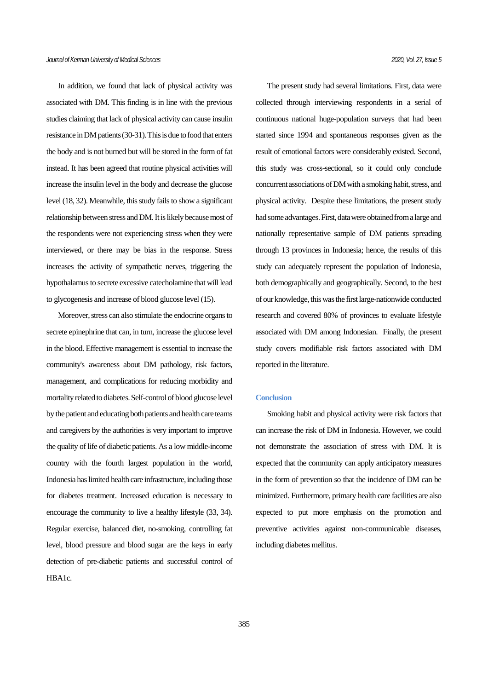In addition, we found that lack of physical activity was associated with DM. This finding is in line with the previous studies claiming that lack of physical activity can cause insulin resistance in DM patients (30-31). This is due to food that enters the body and is not burned but will be stored in the form of fat instead. It has been agreed that routine physical activities will increase the insulin level in the body and decrease the glucose level (18, 32). Meanwhile, this study fails to show a significant relationship between stress and DM. It is likely because most of the respondents were not experiencing stress when they were interviewed, or there may be bias in the response. Stress increases the activity of sympathetic nerves, triggering the hypothalamus to secrete excessive catecholamine that will lead to glycogenesis and increase of blood glucose level (15).

Moreover, stress can also stimulate the endocrine organs to secrete epinephrine that can, in turn, increase the glucose level in the blood. Effective management is essential to increase the community's awareness about DM pathology, risk factors, management, and complications for reducing morbidity and mortality related to diabetes. Self-control of bloodglucose level by the patient and educating both patients and health care teams and caregivers by the authorities is very important to improve the quality of life of diabetic patients. As a low middle-income country with the fourth largest population in the world, Indonesia has limited health care infrastructure, including those for diabetes treatment. Increased education is necessary to encourage the community to live a healthy lifestyle (33, 34). Regular exercise, balanced diet, no-smoking, controlling fat level, blood pressure and blood sugar are the keys in early detection of pre-diabetic patients and successful control of HBA1c.

The present study had several limitations. First, data were collected through interviewing respondents in a serial of continuous national huge-population surveys that had been started since 1994 and spontaneous responses given as the result of emotional factors were considerably existed. Second, this study was cross-sectional, so it could only conclude concurrent associations of DM with a smoking habit, stress, and physical activity. Despite these limitations, the present study had some advantages. First, data were obtained from a large and nationally representative sample of DM patients spreading through 13 provinces in Indonesia; hence, the results of this study can adequately represent the population of Indonesia, both demographically and geographically. Second, to the best of our knowledge, this was the first large-nationwide conducted research and covered 80% of provinces to evaluate lifestyle associated with DM among Indonesian. Finally, the present study covers modifiable risk factors associated with DM reported in the literature.

## **Conclusion**

Smoking habit and physical activity were risk factors that can increase the risk of DM in Indonesia. However, we could not demonstrate the association of stress with DM. It is expected that the community can apply anticipatory measures in the form of prevention so that the incidence of DM can be minimized. Furthermore, primary health care facilities are also expected to put more emphasis on the promotion and preventive activities against non-communicable diseases, including diabetes mellitus.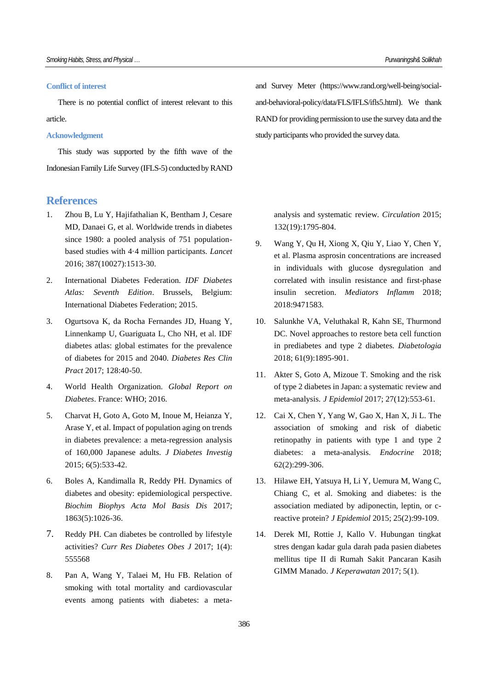#### **Conflict of interest**

There is no potential conflict of interest relevant to this article.

#### **Acknowledgment**

This study was supported by the fifth wave of the Indonesian Family Life Survey (IFLS-5) conducted by RAND

# **References**

- 1. Zhou B, Lu Y, Hajifathalian K, Bentham J, Cesare MD, Danaei G, et al. Worldwide trends in diabetes since 1980: a pooled analysis of 751 populationbased studies with 4·4 million participants. *Lancet* 2016; 387(10027):1513-30.
- 2. International Diabetes Federation. *IDF Diabetes Atlas: Seventh Edition*. Brussels, Belgium: International Diabetes Federation; 2015.
- 3. Ogurtsova K, da Rocha Fernandes JD, Huang Y, Linnenkamp U, Guariguata L, Cho NH, et al. IDF diabetes atlas: global estimates for the prevalence of diabetes for 2015 and 2040. *Diabetes Res Clin Pract* 2017; 128:40-50.
- 4. World Health Organization. *Global Report on Diabetes*. France: WHO; 2016.
- 5. Charvat H, Goto A, Goto M, Inoue M, Heianza Y, Arase Y, et al. Impact of population aging on trends in diabetes prevalence: a meta-regression analysis of 160,000 Japanese adults. *J Diabetes Investig* 2015; 6(5):533-42.
- 6. Boles A, Kandimalla R, Reddy PH. Dynamics of diabetes and obesity: epidemiological perspective. *Biochim Biophys Acta Mol Basis Dis* 2017; 1863(5):1026-36.
- 7. Reddy PH. Can diabetes be controlled by lifestyle activities? *Curr Res Diabetes Obes J* 2017; 1(4): 555568
- 8. Pan A, Wang Y, Talaei M, Hu FB. Relation of smoking with total mortality and cardiovascular events among patients with diabetes: a meta-

analysis and systematic review. *Circulation* 2015; 132(19):1795-804.

- 9. Wang Y, Qu H, Xiong X, Qiu Y, Liao Y, Chen Y, et al. Plasma asprosin concentrations are increased in individuals with glucose dysregulation and correlated with insulin resistance and first-phase insulin secretion. *Mediators Inflamm* 2018; 2018:9471583.
- 10. Salunkhe VA, Veluthakal R, Kahn SE, Thurmond DC. Novel approaches to restore beta cell function in prediabetes and type 2 diabetes. *Diabetologia* 2018; 61(9):1895-901.
- 11. Akter S, Goto A, Mizoue T. Smoking and the risk of type 2 diabetes in Japan: a systematic review and meta-analysis. *J Epidemiol* 2017; 27(12):553-61.
- 12. Cai X, Chen Y, Yang W, Gao X, Han X, Ji L. The association of smoking and risk of diabetic retinopathy in patients with type 1 and type 2 diabetes: a meta-analysis. *Endocrine* 2018; 62(2):299-306.
- 13. Hilawe EH, Yatsuya H, Li Y, Uemura M, Wang C, Chiang C, et al. Smoking and diabetes: is the association mediated by adiponectin, leptin, or creactive protein? *J Epidemiol* 2015; 25(2):99-109.
- 14. Derek MI, Rottie J, Kallo V. Hubungan tingkat stres dengan kadar gula darah pada pasien diabetes mellitus tipe II di Rumah Sakit Pancaran Kasih GIMM Manado. *J Keperawatan* 2017; 5(1).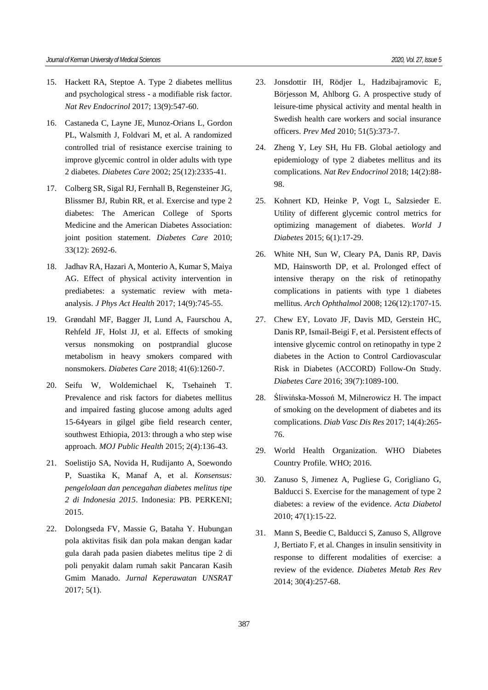- 15. Hackett RA, Steptoe A. Type 2 diabetes mellitus and psychological stress - a modifiable risk factor. *Nat Rev Endocrinol* 2017; 13(9):547-60.
- 16. Castaneda C, Layne JE, Munoz-Orians L, Gordon PL, Walsmith J, Foldvari M, et al. A randomized controlled trial of resistance exercise training to improve glycemic control in older adults with type 2 diabetes. *Diabetes Care* 2002; 25(12):2335-41.
- 17. Colberg SR, Sigal RJ, Fernhall B, Regensteiner JG, Blissmer BJ, Rubin RR, et al. Exercise and type 2 diabetes: The American College of Sports Medicine and the American Diabetes Association: joint position statement. *Diabetes Care* 2010; 33(12): 2692-6.
- 18. Jadhav RA, Hazari A, Monterio A, Kumar S, Maiya AG. Effect of physical activity intervention in prediabetes: a systematic review with metaanalysis. *J Phys Act Health* 2017; 14(9):745-55.
- 19. Grøndahl MF, Bagger JI, Lund A, Faurschou A, Rehfeld JF, Holst JJ, et al. Effects of smoking versus nonsmoking on postprandial glucose metabolism in heavy smokers compared with nonsmokers. *Diabetes Care* 2018; 41(6):1260-7.
- 20. Seifu W, Woldemichael K, Tsehaineh T. Prevalence and risk factors for diabetes mellitus and impaired fasting glucose among adults aged 15-64years in gilgel gibe field research center, southwest Ethiopia, 2013: through a who step wise approach. *MOJ Public Health* 2015; 2(4):136-43.
- 21. Soelistijo SA, Novida H, Rudijanto A, Soewondo P, Suastika K, Manaf A, et al. *Konsensus: pengelolaan dan pencegahan diabetes melitus tipe 2 di Indonesia 2015*. Indonesia: PB. PERKENI; 2015.
- 22. Dolongseda FV, Massie G, Bataha Y. Hubungan pola aktivitas fisik dan pola makan dengan kadar gula darah pada pasien diabetes melitus tipe 2 di poli penyakit dalam rumah sakit Pancaran Kasih Gmim Manado. *Jurnal Keperawatan UNSRAT* 2017; 5(1).
- 23. Jonsdottir IH, Rödjer L, Hadzibajramovic E, Börjesson M, Ahlborg G. A prospective study of leisure-time physical activity and mental health in Swedish health care workers and social insurance officers. *Prev Med* 2010; 51(5):373-7.
- 24. Zheng Y, Ley SH, Hu FB. Global aetiology and epidemiology of type 2 diabetes mellitus and its complications. *Nat Rev Endocrinol* 2018; 14(2):88- 98.
- 25. Kohnert KD, Heinke P, Vogt L, Salzsieder E. Utility of different glycemic control metrics for optimizing management of diabetes. *World J Diabetes* 2015; 6(1):17-29.
- 26. White NH, Sun W, Cleary PA, Danis RP, Davis MD, Hainsworth DP, et al. Prolonged effect of intensive therapy on the risk of retinopathy complications in patients with type 1 diabetes mellitus. *Arch Ophthalmol* 2008; 126(12):1707-15.
- 27. Chew EY, Lovato JF, Davis MD, Gerstein HC, Danis RP, Ismail-Beigi F, et al. Persistent effects of intensive glycemic control on retinopathy in type 2 diabetes in the Action to Control Cardiovascular Risk in Diabetes (ACCORD) Follow-On Study. *Diabetes Care* 2016; 39(7):1089-100.
- 28. Śliwińska-Mossoń M, Milnerowicz H. The impact of smoking on the development of diabetes and its complications. *Diab Vasc Dis Res* 2017; 14(4):265- 76.
- 29. World Health Organization. WHO Diabetes Country Profile. WHO; 2016.
- 30. Zanuso S, Jimenez A, Pugliese G, Corigliano G, Balducci S. Exercise for the management of type 2 diabetes: a review of the evidence. *Acta Diabetol* 2010; 47(1):15-22.
- 31. Mann S, Beedie C, Balducci S, Zanuso S, Allgrove J, Bertiato F, et al. Changes in insulin sensitivity in response to different modalities of exercise: a review of the evidence. *Diabetes Metab Res Rev* 2014; 30(4):257-68.